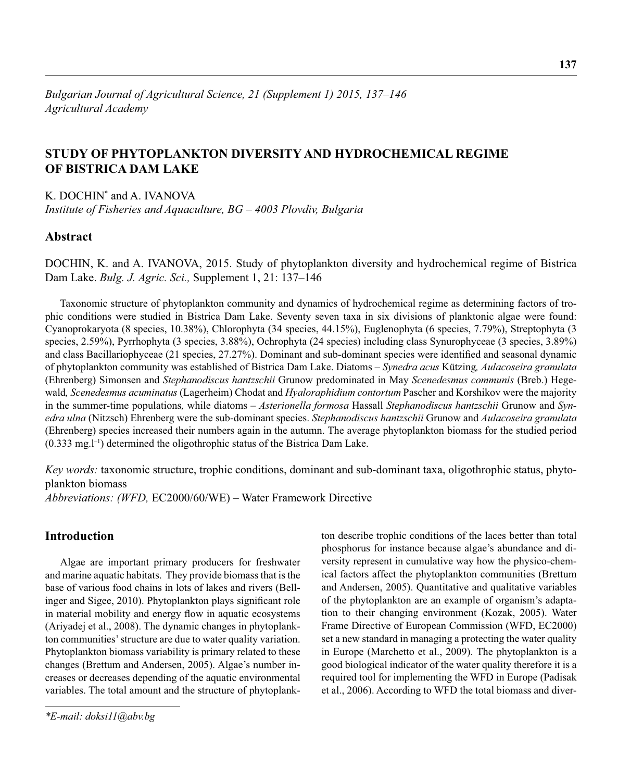# **STUDY OF PHYTOPLANKTON DIVERSITY AND HYDROCHEMICAL REGIME OF BISTRICA DAM LAKE**

K. DOCHIN\* and A. IVANOVA *Institute of Fisheries and Aquaculture, BG – 4003 Plovdiv, Bulgaria*

## **Abstract**

DOCHIN, K. and A. IVANOVA, 2015. Study of phytoplankton diversity and hydrochemical regime of Bistrica Dam Lake. *Bulg. J. Agric. Sci.,* Supplement 1, 21: 137–146

Taxonomic structure of phytoplankton community and dynamics of hydrochemical regime as determining factors of trophic conditions were studied in Bistrica Dam Lake. Seventy seven taxa in six divisions of planktonic algae were found: Cyanoprokaryota (8 species, 10.38%), Chlorophyta (34 species, 44.15%), Euglenophyta (6 species, 7.79%), Streptophyta (3 species, 2.59%), Pyrrhophyta (3 species, 3.88%), Ochrophyta (24 species) including class Synurophyceae (3 species, 3.89%) and class Bacillariophyceae (21 species, 27.27%). Dominant and sub-dominant species were identified and seasonal dynamic of phytoplankton community was established of Bistrica Dam Lake. Diatoms – *Synedra acus* Kützing*, Aulacoseira granulata* (Ehrenberg) Simonsen and *Stephanodiscus hantzschii* Grunow predominated in May *Scenedesmus communis* (Breb.) Hegewald*, Scenedesmus acuminatus* (Lagerheim) Chodat and *Hyaloraphidium contortum* Pascher and Korshikov were the majority in the summer-time populations*,* while diatoms – *Asterionella formosa* Hassall *Stephanodiscus hantzschii* Grunow and *Synedra ulna* (Nitzsch) Ehrenberg were the sub-dominant species. *Stephanodiscus hantzschii* Grunow and *Aulacoseira granulata* (Ehrenberg) species increased their numbers again in the autumn. The average phytoplankton biomass for the studied period  $(0.333 \text{ mg.} l^{-1})$  determined the oligothrophic status of the Bistrica Dam Lake.

*Key words:* taxonomic structure, trophic conditions, dominant and sub-dominant taxa, oligothrophic status, phytoplankton biomass

*Abbreviations: (WFD,* EC2000/60/WE) – Water Framework Directive

## **Introduction**

Algae are important primary producers for freshwater and marine aquatic habitats. They provide biomass that is the base of various food chains in lots of lakes and rivers (Bellinger and Sigee, 2010). Phytoplankton plays significant role in material mobility and energy flow in aquatic ecosystems (Ariyadej et al., 2008). The dynamic changes in phytoplankton communities' structure are due to water quality variation. Phytoplankton biomass variability is primary related to these changes (Brettum and Andersen, 2005). Algae's number increases or decreases depending of the aquatic environmental variables. The total amount and the structure of phytoplank-

ton describe trophic conditions of the laces better than total phosphorus for instance because algae's abundance and diversity represent in cumulative way how the physico-chemical factors affect the phytoplankton communities (Brettum and Andersen, 2005). Quantitative and qualitative variables of the phytoplankton are an example of organism's adaptation to their changing environment (Kozak, 2005). Water Frame Directive of European Commission (WFD, EC2000) set a new standard in managing a protecting the water quality in Europe (Marchetto et al., 2009). The phytoplankton is a good biological indicator of the water quality therefore it is a required tool for implementing the WFD in Europe (Padisak et al., 2006). According to WFD the total biomass and diver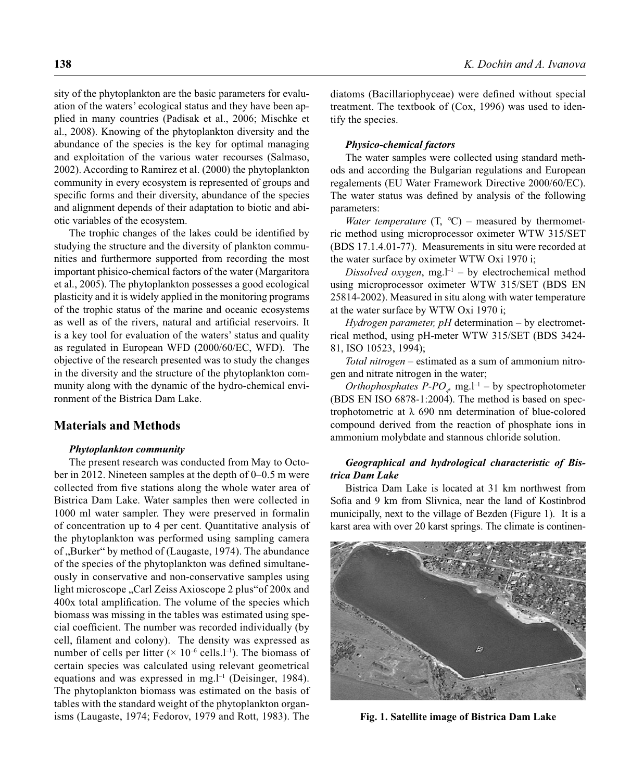sity of the phytoplankton are the basic parameters for evaluation of the waters' ecological status and they have been applied in many countries (Padisak et al., 2006; Mischke et al., 2008). Knowing of the phytoplankton diversity and the abundance of the species is the key for optimal managing and exploitation of the various water recourses (Salmaso, 2002). According to Ramirez et al. (2000) the phytoplankton community in every ecosystem is represented of groups and specific forms and their diversity, abundance of the species and alignment depends of their adaptation to biotic and abiotic variables of the ecosystem.

The trophic changes of the lakes could be identified by studying the structure and the diversity of plankton communities and furthermore supported from recording the most important phisico-chemical factors of the water (Margaritora et al., 2005). The phytoplankton possesses a good ecological plasticity and it is widely applied in the monitoring programs of the trophic status of the marine and oceanic ecosystems as well as of the rivers, natural and artificial reservoirs. It is a key tool for evaluation of the waters' status and quality as regulated in European WFD (2000/60/EC, WFD). The objective of the research presented was to study the changes in the diversity and the structure of the phytoplankton community along with the dynamic of the hydro-chemical environment of the Bistrica Dam Lake.

### **Materials and Methods**

#### *Phytoplankton community*

The present research was conducted from May to October in 2012. Nineteen samples at the depth of 0–0.5 m were collected from five stations along the whole water area of Bistrica Dam Lake. Water samples then were collected in 1000 ml water sampler. They were preserved in formalin of concentration up to 4 per cent. Quantitative analysis of the phytoplankton was performed using sampling camera of "Burker" by method of (Laugaste, 1974). The abundance of the species of the phytoplankton was defined simultaneously in conservative and non-conservative samples using light microscope "Carl Zeiss Axioscope 2 plus" of 200x and 400x total amplification. The volume of the species which biomass was missing in the tables was estimated using special coefficient. The number was recorded individually (by cell, filament and colony). The density was expressed as number of cells per litter  $(x 10^{-6} \text{ cells.}1^{-1})$ . The biomass of certain species was calculated using relevant geometrical equations and was expressed in mg. $l^{-1}$  (Deisinger, 1984). The phytoplankton biomass was estimated on the basis of tables with the standard weight of the phytoplankton organisms (Laugaste, 1974; Fedorov, 1979 and Rott, 1983). The

diatoms (Bacillariophyceae) were defined without special treatment. The textbook of (Cox, 1996) was used to identify the species.

#### *Physico-chemical factors*

The water samples were collected using standard methods and according the Bulgarian regulations and European regalements (EU Water Framework Directive 2000/60/ЕС). The water status was defined by analysis of the following parameters:

*Water temperature* (Т, *°*С) – measured by thermometric method using microprocessor oximeter WTW 315/SET (BDS 17.1.4.01-77). Measurements in situ were recorded at the water surface by oximeter WTW Oxi 1970 i;

*Dissolved oxygen*, mg.<sup> $1-1$ </sup> – by electrochemical method using microprocessor oximeter WTW 315/SET (BDS EN 25814-2002). Measured in situ along with water temperature at the water surface by WTW Oxi 1970 i;

*Hydrogen parameter, pH* determination – by electrometrical method, using рН-meter WTW 315/SET (BDS 3424- 81, ISO 10523, 1994);

*Total nitrogen* – estimated as a sum of ammonium nitrogen and nitrate nitrogen in the water;

*Orthophosphates P-PO<sub>4</sub>*, mg.l<sup>-1</sup> – by spectrophotometer (BDS EN ISO 6878-1:2004). The method is based on spectrophotometric at  $\lambda$  690 nm determination of blue-colored compound derived from the reaction of phosphate ions in ammonium molybdate and stannous chloride solution.

#### *Geographical and hydrological characteristic of Bistrica Dam Lake*

Bistrica Dam Lake is located at 31 km northwest from Sofia and 9 km from Slivnica, near the land of Kostinbrod municipally, next to the village of Bezden (Figure 1). It is a karst area with over 20 karst springs. The climate is continen-



**Fig. 1. Satellite image of Bistrica Dam Lake**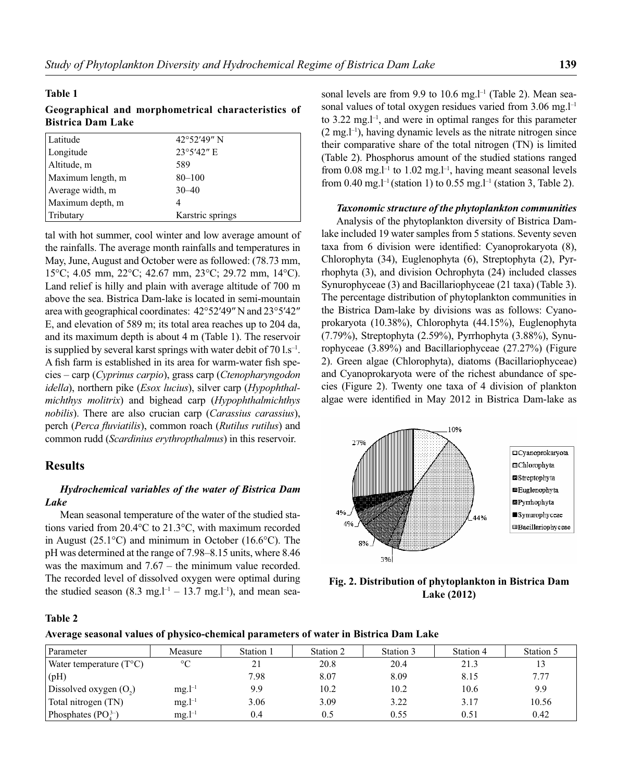#### **Table 1**

## **Geographical and morphometrical characteristics of Bistrica Dam Lake**

| Latitude          | $42^{\circ}52'49''$ N |
|-------------------|-----------------------|
| Longitude         | 23°5'42" E            |
| Altitude, m       | 589                   |
| Maximum length, m | $80 - 100$            |
| Average width, m  | $30 - 40$             |
| Maximum depth, m  |                       |
| Tributary         | Karstric springs      |

tal with hot summer, cool winter and low average amount of the rainfalls. The average month rainfalls and temperatures in May, June, August and October were as followed: (78.73 mm, 15°C; 4.05 mm, 22°C; 42.67 mm, 23°C; 29.72 mm, 14°C). Land relief is hilly and plain with average altitude of 700 m above the sea. Bistrica Dam-lake is located in semi-mountain area with geographical coordinates: 42°52′49″ N and 23°5′42″ Е, and elevation of 589 m; its total area reaches up to 204 da, and its maximum depth is about 4 m (Table 1). The reservoir is supplied by several karst springs with water debit of  $70 \text{ Ls}^{-1}$ . A fish farm is established in its area for warm-water fish species – carp (*Cyprinus carpio*), grass carp (*Ctenopharyngodon idella*), northern pike (*Esox lucius*), silver carp (*Hypophthalmichthys molitrix*) and bighead carp (*Hypophthalmichthys nobilis*). There are also crucian carp (*Carassius carassius*), perch (*Perca fluviatilis*), common roach (*Rutilus rutilus*) and common rudd (*Scardinius erythropthalmus*) in this reservoir.

### **Results**

### *Hydrochemical variables of the water of Bistrica Dam Lake*

Mean seasonal temperature of the water of the studied stations varied from 20.4°С to 21.3°С, with maximum recorded in August (25.1°С) and minimum in October (16.6°С). The рН was determined at the range of 7.98–8.15 units, where 8.46 was the maximum and 7.67 – the minimum value recorded. The recorded level of dissolved oxygen were optimal during the studied season (8.3 mg.l<sup>-1</sup> – 13.7 mg.l<sup>-1</sup>), and mean seasonal levels are from 9.9 to 10.6 mg.l<sup>-1</sup> (Table 2). Mean seasonal values of total oxygen residues varied from  $3.06 \text{ mg}$ .<sup>1-1</sup> to  $3.22 \text{ mg}$ . and were in optimal ranges for this parameter  $(2 \text{ mg}, l^{-1})$ , having dynamic levels as the nitrate nitrogen since their comparative share of the total nitrogen (TN) is limited (Table 2). Phosphorus amount of the studied stations ranged from 0.08 mg.<sup>1-1</sup> to 1.02 mg.<sup>1-1</sup>, having meant seasonal levels from 0.40 mg.<sup>1-1</sup> (station 1) to 0.55 mg.<sup>1-1</sup> (station 3, Table 2).

#### *Taxonomic structure of the phytoplankton communities*

Analysis of the phytoplankton diversity of Bistrica Damlake included 19 water samples from 5 stations. Seventy seven taxa from 6 division were identified: Cyanoprokaryota (8), Chlorophyta (34), Euglenophyta (6), Streptophyta (2), Pyrrhophyta (3), and division Ochrophyta (24) included classes Synurophyceae (3) and Bacillariophyceae (21 taxa) (Table 3). The percentage distribution of phytoplankton communities in the Bistrica Dam-lake by divisions was as follows: Cyanoprokaryota (10.38%), Chlorophyta (44.15%), Euglenophyta (7.79%), Streptophyta (2.59%), Pyrrhophyta (3.88%), Synurophyceae (3.89%) and Bacillariophyceae (27.27%) (Figure 2). Green algae (Chlorophyta), diatoms (Bacillariophyceae) and Cyanoprokaryota were of the richest abundance of species (Figure 2). Twenty one taxa of 4 division of plankton algae were identified in May 2012 in Bistrica Dam-lake as



**Fig. 2. Distribution of phytoplankton in Bistrica Dam Lake (2012)**

#### **Table 2**

**Average seasonal values of physico-chemical parameters of water in Bistrica Dam Lake**

| Parameter                        | Measure         | Station 1 | Station 2 | Station 3 | Station 4 | Station 5 |
|----------------------------------|-----------------|-----------|-----------|-----------|-----------|-----------|
| Water temperature $(T^{\circ}C)$ | $\rm ^{\circ}C$ |           | 20.8      | 20.4      | 21.3      | 13        |
| (hH)                             |                 | 7.98      | 8.07      | 8.09      | 8.15      | 7.77      |
| Dissolved oxygen $(O_2)$         | $mg.l^{-1}$     | 9.9       | 10.2      | 10.2      | 10.6      | 9.9       |
| Total nitrogen (TN)              | $mg.l^{-1}$     | 3.06      | 3.09      | 3.22      | 3.17      | 10.56     |
| Phosphates $(PO3-)$              | $mg.l^{-1}$     | 0.4       | 0.5       | 0.55      | 0.51      | 0.42      |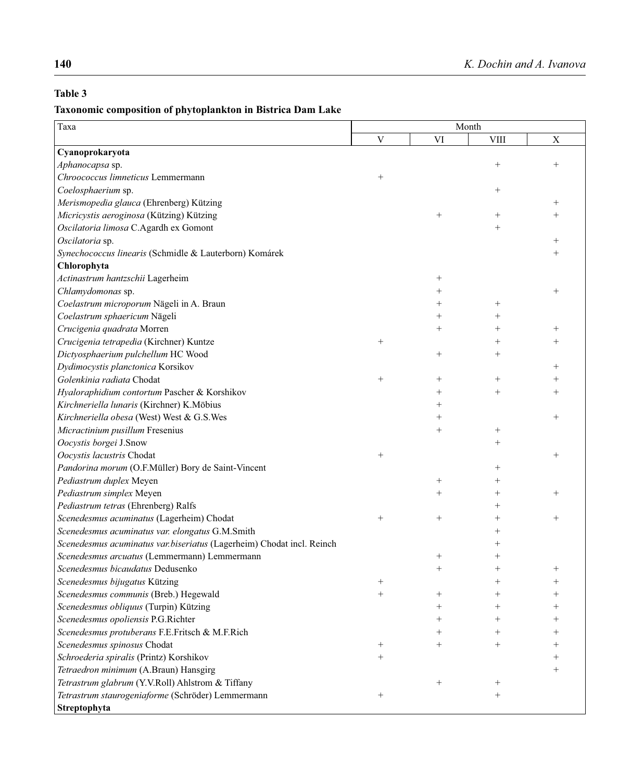## **Table 3**

## **Taxonomic composition of phytoplankton in Bistrica Dam Lake**

| Taxa                                                                  | Month       |        |                    |                |
|-----------------------------------------------------------------------|-------------|--------|--------------------|----------------|
|                                                                       | $\mathbf V$ | VI     | <b>VIII</b>        | $\mathbf X$    |
| Cyanoprokaryota                                                       |             |        |                    |                |
| Aphanocapsa sp.                                                       |             |        | $^{+}$             | $^{+}$         |
| Chroococcus limneticus Lemmermann                                     | $^{+}$      |        |                    |                |
| Coelosphaerium sp.                                                    |             |        | $^{+}$             |                |
| Merismopedia glauca (Ehrenberg) Kützing                               |             |        |                    | $^{+}$         |
| Micricystis aeroginosa (Kützing) Kützing                              |             | $^{+}$ | $^{+}$             |                |
| Oscilatoria limosa C.Agardh ex Gomont                                 |             |        | $^{+}$             |                |
| Oscilatoria sp.                                                       |             |        |                    | $^{+}$         |
| Synechococcus linearis (Schmidle & Lauterborn) Komárek                |             |        |                    |                |
| Chlorophyta                                                           |             |        |                    |                |
| Actinastrum hantzschii Lagerheim                                      |             | $^{+}$ |                    |                |
| Chlamydomonas sp.                                                     |             | $^{+}$ |                    | $^{+}$         |
| Coelastrum microporum Nägeli in A. Braun                              |             | $^{+}$ | $^{+}$             |                |
| Coelastrum sphaericum Nägeli                                          |             | $^{+}$ |                    |                |
| Crucigenia quadrata Morren                                            |             | $^{+}$ | $\hspace{0.1mm} +$ |                |
| Crucigenia tetrapedia (Kirchner) Kuntze                               | $^+$        |        |                    |                |
| Dictyosphaerium pulchellum HC Wood                                    |             | $^{+}$ | $\hspace{0.1mm} +$ |                |
| Dydimocystis planctonica Korsikov                                     |             |        |                    | $^{+}$         |
| Golenkinia radiata Chodat                                             | $^{+}$      | $^{+}$ | $^{+}$             |                |
| Hyaloraphidium contortum Pascher & Korshikov                          |             | $^{+}$ | $^{+}$             | $\overline{+}$ |
| Kirchneriella lunaris (Kirchner) K.Möbius                             |             | $^{+}$ |                    |                |
| Kirchneriella obesa (West) West & G.S.Wes                             |             | $^{+}$ |                    | $^{+}$         |
| Micractinium pusillum Fresenius                                       |             | $^{+}$ | $^{+}$             |                |
| Oocystis borgei J.Snow                                                |             |        | $^{+}$             |                |
| Oocystis lacustris Chodat                                             | $^{+}$      |        |                    | $^{+}$         |
| Pandorina morum (O.F.Müller) Bory de Saint-Vincent                    |             |        | $\hspace{0.1mm} +$ |                |
| Pediastrum duplex Meyen                                               |             | $^{+}$ |                    |                |
| Pediastrum simplex Meyen                                              |             | $^{+}$ |                    |                |
| Pediastrum tetras (Ehrenberg) Ralfs                                   |             |        |                    |                |
| Scenedesmus acuminatus (Lagerheim) Chodat                             | $^{+}$      | $^{+}$ |                    |                |
| Scenedesmus acuminatus var. elongatus G.M.Smith                       |             |        |                    |                |
| Scenedesmus acuminatus var.biseriatus (Lagerheim) Chodat incl. Reinch |             |        |                    |                |
| Scenedesmus arcuatus (Lemmermann) Lemmermann                          |             | $^+$   |                    |                |
| Scenedesmus bicaudatus Dedusenko                                      |             | $^{+}$ |                    |                |
| Scenedesmus bijugatus Kützing                                         |             |        |                    |                |
| Scenedesmus communis (Breb.) Hegewald                                 |             |        |                    |                |
| Scenedesmus obliquus (Turpin) Kützing                                 |             |        |                    |                |
| Scenedesmus opoliensis P.G.Richter                                    |             | $\, +$ |                    |                |
| Scenedesmus protuberans F.E.Fritsch & M.F.Rich                        |             | $\, +$ |                    |                |
| Scenedesmus spinosus Chodat                                           | $^+$        | $\pm$  | $\, + \,$          |                |
| Schroederia spiralis (Printz) Korshikov                               |             |        |                    |                |
| Tetraedron minimum (A.Braun) Hansgirg                                 |             |        |                    | $^+$           |
| Tetrastrum glabrum (Y.V.Roll) Ahlstrom & Tiffany                      |             | $^{+}$ | $^+$               |                |
| Tetrastrum staurogeniaforme (Schröder) Lemmermann                     |             |        | $^{+}$             |                |
| Streptophyta                                                          |             |        |                    |                |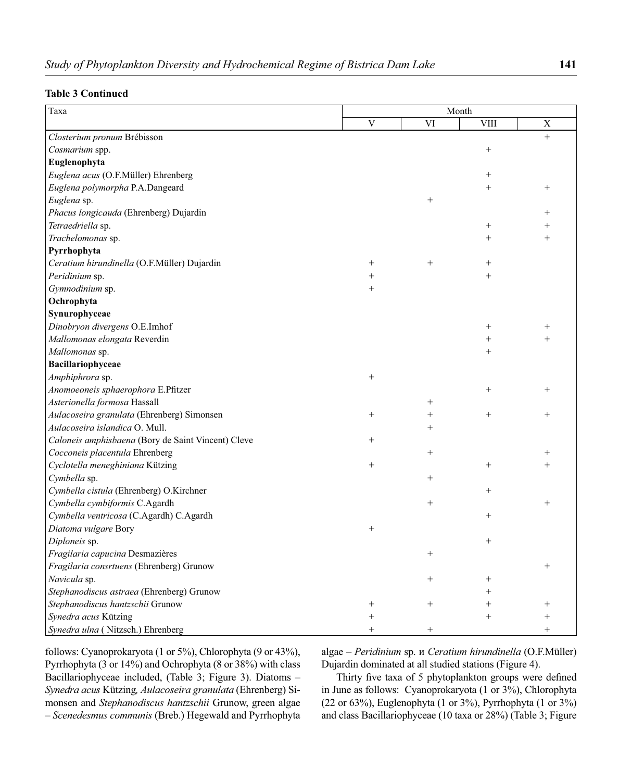| Taxa                                               | Month       |                 |                 |                    |
|----------------------------------------------------|-------------|-----------------|-----------------|--------------------|
|                                                    | $\mathbf V$ | VI              | <b>VIII</b>     | $\mathbf X$        |
| Closterium pronum Brébisson                        |             |                 |                 | $^{+}$             |
| Cosmarium spp.                                     |             |                 | $^{+}$          |                    |
| Euglenophyta                                       |             |                 |                 |                    |
| Euglena acus (O.F.Müller) Ehrenberg                |             |                 | $^{+}$          |                    |
| Euglena polymorpha P.A.Dangeard                    |             |                 | $^{+}$          | $^{+}$             |
| Euglena sp.                                        |             | $^{+}$          |                 |                    |
| Phacus longicauda (Ehrenberg) Dujardin             |             |                 |                 | $^{+}$             |
| Tetraedriella sp.                                  |             |                 | $^{+}$          |                    |
| Trachelomonas sp.                                  |             |                 | $^{+}$          | $^{+}$             |
| Pyrrhophyta                                        |             |                 |                 |                    |
| Ceratium hirundinella (O.F.Müller) Dujardin        | $^{+}$      | $^{+}$          | $^{+}$          |                    |
| Peridinium sp.                                     | $^{+}$      |                 | $^{+}$          |                    |
| Gymnodinium sp.                                    | $^{+}$      |                 |                 |                    |
| Ochrophyta                                         |             |                 |                 |                    |
| Synurophyceae                                      |             |                 |                 |                    |
| Dinobryon divergens O.E.Imhof                      |             |                 | $\! + \!\!\!\!$ | $^+$               |
| Mallomonas elongata Reverdin                       |             |                 | $^{+}$          | $^{+}$             |
| Mallomonas sp.                                     |             |                 | $^{+}$          |                    |
| Bacillariophyceae                                  |             |                 |                 |                    |
| Amphiphrora sp.                                    | $^{+}$      |                 |                 |                    |
| Anomoeoneis sphaerophora E.Pfitzer                 |             |                 | $^{+}$          | $^{+}$             |
| Asterionella formosa Hassall                       |             | $^{+}$          |                 |                    |
| Aulacoseira granulata (Ehrenberg) Simonsen         | $^{+}$      | $^{+}$          | $^{+}$          | $^{+}$             |
| Aulacoseira islandica O. Mull.                     |             | $^{+}$          |                 |                    |
| Caloneis amphisbaena (Bory de Saint Vincent) Cleve | $^{+}$      |                 |                 |                    |
| Cocconeis placentula Ehrenberg                     |             | $^{+}$          |                 | $\hspace{0.1mm} +$ |
| Cyclotella meneghiniana Kützing                    | $^{+}$      |                 | $^{+}$          | $^{+}$             |
| Cymbella sp.                                       |             | $^{+}$          |                 |                    |
| Cymbella cistula (Ehrenberg) O.Kirchner            |             |                 | $^{+}$          |                    |
| Cymbella cymbiformis C.Agardh                      |             | $^{+}$          |                 | $^{+}$             |
| Cymbella ventricosa (C.Agardh) C.Agardh            |             |                 | $^{+}$          |                    |
| Diatoma vulgare Bory                               | $^{+}$      |                 |                 |                    |
| Diploneis sp.                                      |             |                 | $^{+}$          |                    |
| Fragilaria capucina Desmazières                    |             | $\! + \!\!\!\!$ |                 |                    |
| Fragilaria consrtuens (Ehrenberg) Grunow           |             |                 |                 | $^{+}$             |
| Navicula sp.                                       |             | $\! + \!\!\!\!$ | $^{+}$          |                    |
| Stephanodiscus astraea (Ehrenberg) Grunow          |             |                 | $^{+}$          |                    |
| Stephanodiscus hantzschii Grunow                   | $^{+}$      | $^{+}$          | $^{+}$          | $^+$               |
| Synedra acus Kützing                               | $^{+}$      |                 | $^{+}$          |                    |
| Synedra ulna (Nitzsch.) Ehrenberg                  | $^{+}$      | $^{+}$          |                 | $^{+}$             |

follows: Cyanoprokaryota (1 or 5%), Chlorophyta (9 or 43%), Pyrrhophyta (3 or 14%) and Ochrophyta (8 or 38%) with class Bacillariophyceae included, (Table 3; Figure 3). Diatoms – *Synedra acus* Kützing*, Aulacoseira granulata* (Ehrenberg) Simonsen and *Stephanodiscus hantzschii* Grunow, green algae – *Scenedesmus communis* (Breb.) Hegewald and Pyrrhophyta

algae – *Peridinium* sp. и *Ceratium hirundinella* (O.F.Müller) Dujardin dominated at all studied stations (Figure 4).

Thirty five taxa of 5 phytoplankton groups were defined in June as follows: Cyanoprokaryota (1 or 3%), Chlorophyta (22 or 63%), Euglenophyta (1 or 3%), Pyrrhophyta (1 or 3%) and class Bacillariophyceae (10 taxa or 28%) (Table 3; Figure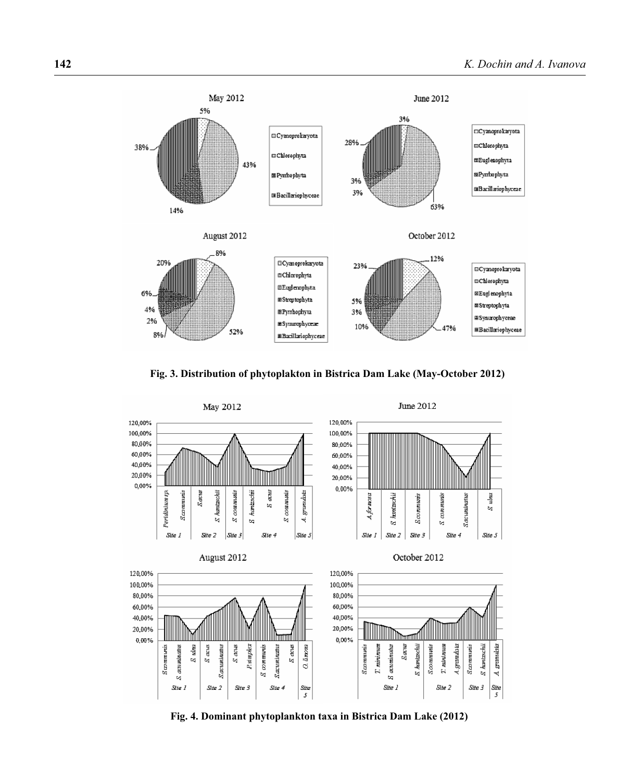





**Fig. 4. Dominant phytoplankton taxa in Bistrica Dam Lake (2012)**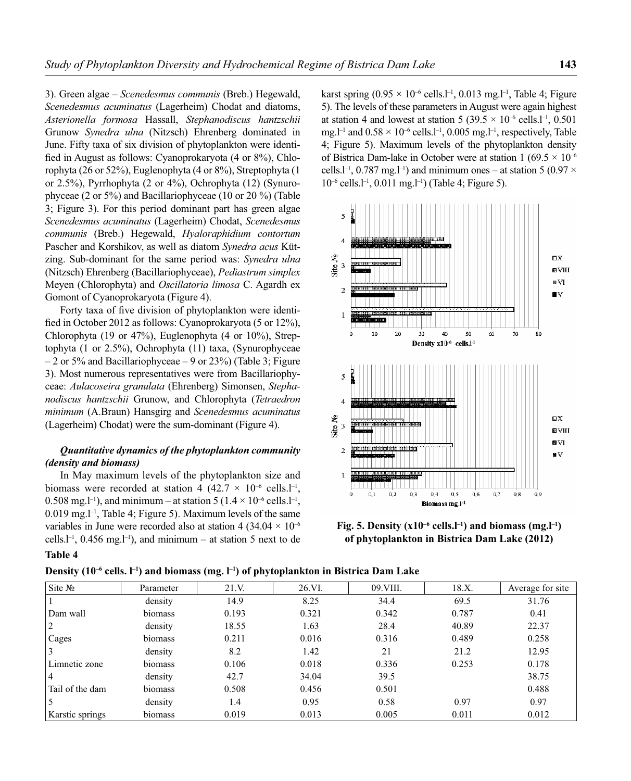3). Green algae – *Scenedesmus communis* (Breb.) Hegewald, *Scenedesmus acuminatus* (Lagerheim) Chodat and diatoms, *Asterionella formosa* Hassall, *Stephanodiscus hantzschii* Grunow *Synedra ulna* (Nitzsch) Ehrenberg dominated in June. Fifty taxa of six division of phytoplankton were identified in August as follows: Cyanoprokaryota (4 or 8%), Chlorophyta (26 or 52%), Euglenophyta (4 or 8%), Streptophyta (1 or 2.5%), Pyrrhophyta (2 or 4%), Ochrophyta (12) (Synurophyceae (2 or 5%) and Bacillariophyceae (10 or 20 %) (Table 3; Figure 3). For this period dominant part has green algae *Scenedesmus acuminatus* (Lagerheim) Chodat, *Scenedesmus communis* (Breb.) Hegewald, *Hyaloraphidium contortum* Pascher and Korshikov, as well as diatom *Synedra acus* Kützing. Sub-dominant for the same period was: *Synedra ulna* (Nitzsch) Ehrenberg (Bacillariophyceae), *Pediastrum simplex* Meyen (Chlorophyta) and *Oscillatoria limosa* C. Agardh ex Gomont of Cyanoprokaryota (Figure 4).

Forty taxa of five division of phytoplankton were identified in October 2012 as follows: Cyanoprokaryota (5 or  $12\%$ ), Chlorophyta (19 or 47%), Euglenophyta (4 or 10%), Streptophyta (1 or 2.5%), Ochrophyta (11) taxa, (Synurophyceae  $-2$  or 5% and Bacillariophyceae  $-9$  or 23%) (Table 3; Figure 3). Most numerous representatives were from Bacillariophyceae: *Aulacoseira granulata* (Ehrenberg) Simonsen, *Stephanodiscus hantzschii* Grunow, and Chlorophyta (*Tetraedron minimum* (A.Braun) Hansgirg and *Scenedesmus acuminatus* (Lagerheim) Chodat) were the sum-dominant (Figure 4).

### *Quantitative dynamics of the phytoplankton community (density and biomass)*

In May maximum levels of the phytoplankton size and biomass were recorded at station 4 (42.7  $\times$  10<sup>-6</sup> cells.l<sup>-1</sup>, 0.508 mg.<sup>1-1</sup>), and minimum – at station 5 ( $1.4 \times 10^{-6}$  cells.<sup>1-1</sup>,  $0.019$  mg.<sup>1-1</sup>, Table 4; Figure 5). Maximum levels of the same variables in June were recorded also at station 4 (34.04  $\times$  10<sup>-6</sup> cells.<sup> $1$ -1</sup>, 0.456 mg.<sup> $1$ -1</sup>), and minimum – at station 5 next to de karst spring (0.95  $\times$  10<sup>-6</sup> cells.<sup>1-1</sup>, 0.013 mg.<sup>1-1</sup>, Table 4; Figure 5). The levels of these parameters in August were again highest at station 4 and lowest at station 5 (39.5  $\times$  10<sup>-6</sup> cells.<sup>1-1</sup>, 0.501 mg.<sup>1-1</sup> and  $0.58 \times 10^{-6}$  cells.1<sup>-1</sup>, 0.005 mg.1<sup>-1</sup>, respectively, Table 4; Figure 5). Maximum levels of the phytoplankton density of Bistrica Dam-lake in October were at station 1 (69.5  $\times$  10<sup>-6</sup> cells.l<sup>-1</sup>, 0.787 mg.l<sup>-1</sup>) and minimum ones – at station 5 (0.97  $\times$  $10^{-6}$  cells.<sup>1-1</sup>, 0.011 mg.<sup>1-1</sup>) (Table 4; Figure 5).





#### **Table 4**

| Density (10 <sup>-6</sup> cells. l <sup>-1</sup> ) and biomass (mg. l <sup>-1</sup> ) of phytoplankton in Bistrica Dam Lake |  |  |  |
|-----------------------------------------------------------------------------------------------------------------------------|--|--|--|
|-----------------------------------------------------------------------------------------------------------------------------|--|--|--|

| $\text{Site } \mathbb{N}_2$ | Parameter | 21.V. | 26.VI. | 09.VIII. | 18.X. | Average for site |
|-----------------------------|-----------|-------|--------|----------|-------|------------------|
|                             | density   | 14.9  | 8.25   | 34.4     | 69.5  | 31.76            |
| Dam wall                    | biomass   | 0.193 | 0.321  | 0.342    | 0.787 | 0.41             |
| 2                           | density   | 18.55 | 1.63   | 28.4     | 40.89 | 22.37            |
| Cages                       | biomass   | 0.211 | 0.016  | 0.316    | 0.489 | 0.258            |
|                             | density   | 8.2   | 1.42   | 21       | 21.2  | 12.95            |
| Limnetic zone               | biomass   | 0.106 | 0.018  | 0.336    | 0.253 | 0.178            |
| $\overline{4}$              | density   | 42.7  | 34.04  | 39.5     |       | 38.75            |
| Tail of the dam             | biomass   | 0.508 | 0.456  | 0.501    |       | 0.488            |
|                             | density   | 1.4   | 0.95   | 0.58     | 0.97  | 0.97             |
| Karstic springs             | biomass   | 0.019 | 0.013  | 0.005    | 0.011 | 0.012            |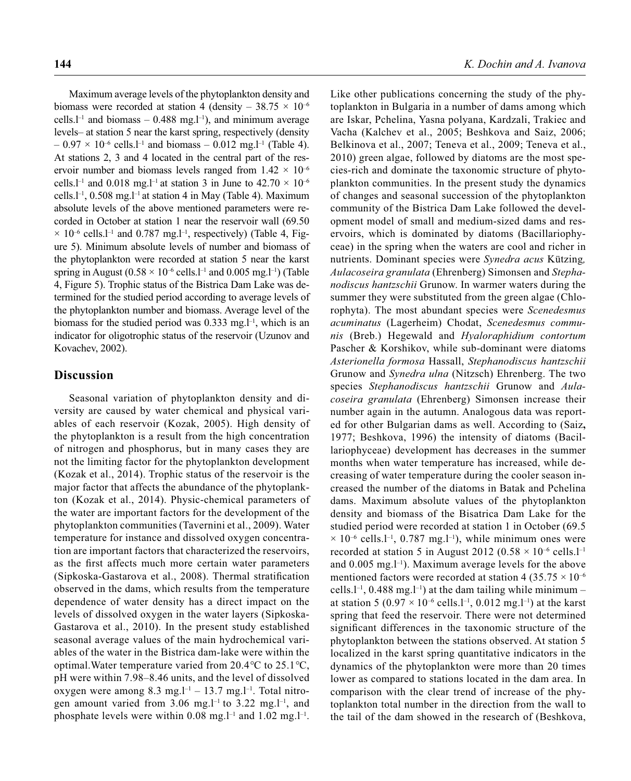Maximum average levels of the phytoplankton density and biomass were recorded at station 4 (density –  $38.75 \times 10^{-6}$ ) cells.<sup>1-1</sup> and biomass – 0.488 mg.<sup>1-1</sup>), and minimum average levels– at station 5 near the karst spring, respectively (density  $-0.97 \times 10^{-6}$  cells.<sup>1-1</sup> and biomass  $-0.012$  mg.<sup>1-1</sup> (Table 4). At stations 2, 3 and 4 located in the central part of the reservoir number and biomass levels ranged from  $1.42 \times 10^{-6}$ cells.<sup>1-1</sup> and 0.018 mg.<sup>1-1</sup> at station 3 in June to  $42.70 \times 10^{-6}$ cells.l–1, 0.508 mg.l–1 at station 4 in May (Table 4). Maximum absolute levels of the above mentioned parameters were recorded in October at station 1 near the reservoir wall (69.50  $\times$  10<sup>-6</sup> cells.<sup>1-1</sup> and 0.787 mg.<sup>1-1</sup>, respectively) (Table 4, Figure 5). Minimum absolute levels of number and biomass of the phytoplankton were recorded at station 5 near the karst spring in August ( $0.58 \times 10^{-6}$  cells.<sup>1-1</sup> and 0.005 mg.<sup>1-1</sup>) (Table 4, Figure 5). Trophic status of the Bistrica Dam Lake was determined for the studied period according to average levels of the phytoplankton number and biomass. Average level of the biomass for the studied period was 0.333 mg.l<sup>-1</sup>, which is an indicator for oligotrophic status of the reservoir (Uzunov and Kovachev, 2002).

### **Discussion**

Seasonal variation of phytoplankton density and diversity are caused by water chemical and physical variables of each reservoir (Kozak, 2005). High density of the phytoplankton is a result from the high concentration of nitrogen and phosphorus, but in many cases they are not the limiting factor for the phytoplankton development (Kozak et al., 2014). Trophic status of the reservoir is the major factor that affects the abundance of the phytoplankton (Kozak et al., 2014). Physic-chemical parameters of the water are important factors for the development of the phytoplankton communities (Tavernini et al., 2009). Water temperature for instance and dissolved oxygen concentration are important factors that characterized the reservoirs, as the first affects much more certain water parameters (Sipkoska-Gastarova et al., 2008). Thermal stratification observed in the dams, which results from the temperature dependence of water density has a direct impact on the levels of dissolved oxygen in the water layers (Sipkoska-Gastarova et al., 2010). In the present study established seasonal average values of the main hydrochemical variables of the water in the Bistrica dam-lake were within the optimal.Water temperature varied from 20.4*°*С to 25.1*°*С, pH were within 7.98–8.46 units, and the level of dissolved oxygen were among 8.3 mg. $l^{-1}$  – 13.7 mg. $l^{-1}$ . Total nitrogen amount varied from  $3.06$  mg.<sup>1-1</sup> to  $3.22$  mg.<sup>1-1</sup>, and phosphate levels were within 0.08 mg.<sup>1-1</sup> and 1.02 mg.<sup>1-1</sup>.

Like other publications concerning the study of the phytoplankton in Bulgaria in a number of dams among which are Iskar, Pchelina, Yasna polyana, Kardzali, Trakiec and Vacha (Kalchev et al., 2005; Beshkova and Saiz, 2006; Belkinova et al., 2007; Teneva et al., 2009; Teneva et al., 2010) green algae, followed by diatoms are the most species-rich and dominate the taxonomic structure of phytoplankton communities. In the present study the dynamics of changes and seasonal succession of the phytoplankton community of the Bistrica Dam Lake followed the development model of small and medium-sized dams and reservoirs, which is dominated by diatoms (Bacillariophyceae) in the spring when the waters are cool and richer in nutrients. Dominant species were *Synedra acus* Kützing*, Aulacoseira granulata* (Ehrenberg) Simonsen and *Stephanodiscus hantzschii* Grunow. In warmer waters during the summer they were substituted from the green algae (Chlorophyta). The most abundant species were *Scenedesmus acuminatus* (Lagerheim) Chodat, *Scenedesmus communis* (Breb.) Hegewald and *Hyaloraphidium contortum* Pascher & Korshikov, while sub-dominant were diatoms *Asterionella formosa* Hassall, *Stephanodiscus hantzschii* Grunow and *Synedra ulna* (Nitzsch) Ehrenberg. The two species *Stephanodiscus hantzschii* Grunow and *Aulacoseira granulata* (Ehrenberg) Simonsen increase their number again in the autumn. Analogous data was reported for other Bulgarian dams as well. According to (Saiz**,**  1977; Beshkova, 1996) the intensity of diatoms (Bacillariophyceae) development has decreases in the summer months when water temperature has increased, while decreasing of water temperature during the cooler season increased the number of the diatoms in Batak and Pchelina dams. Maximum absolute values of the phytoplankton density and biomass of the Bisatrica Dam Lake for the studied period were recorded at station 1 in October (69.5  $\times$  10<sup>-6</sup> cells.<sup>1-1</sup>, 0.787 mg.<sup>1-1</sup>), while minimum ones were recorded at station 5 in August 2012 (0.58  $\times$  10<sup>-6</sup> cells.<sup>1-1</sup> and  $0.005$  mg.<sup>1-1</sup>). Maximum average levels for the above mentioned factors were recorded at station 4 (35.75  $\times$  10<sup>-6</sup> cells. $l^{-1}$ , 0.488 mg. $l^{-1}$ ) at the dam tailing while minimum – at station 5 (0.97  $\times$  10<sup>-6</sup> cells.<sup>1-1</sup>, 0.012 mg.<sup>1-1</sup>) at the karst spring that feed the reservoir. There were not determined significant differences in the taxonomic structure of the phytoplankton between the stations observed. At station 5 localized in the karst spring quantitative indicators in the dynamics of the phytoplankton were more than 20 times lower as compared to stations located in the dam area. In comparison with the clear trend of increase of the phytoplankton total number in the direction from the wall to the tail of the dam showed in the research of (Beshkova,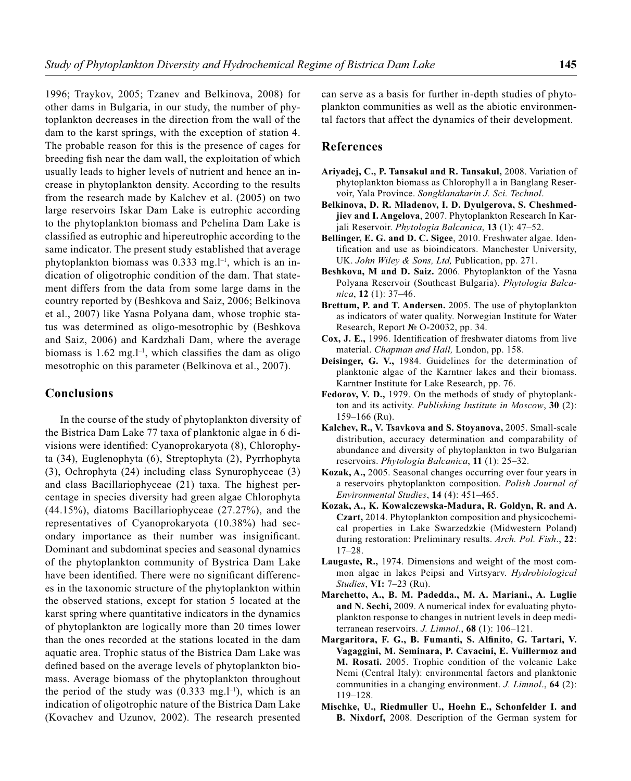1996; Traykov, 2005; Tzanev and Belkinova, 2008) for other dams in Bulgaria, in our study, the number of phytoplankton decreases in the direction from the wall of the dam to the karst springs, with the exception of station 4. The probable reason for this is the presence of cages for breeding fish near the dam wall, the exploitation of which usually leads to higher levels of nutrient and hence an increase in phytoplankton density. According to the results from the research made by Kalchev et al. (2005) on two large reservoirs Iskar Dam Lake is eutrophic according to the phytoplankton biomass and Pchelina Dam Lake is classified as eutrophic and hipereutrophic according to the same indicator. The present study established that average phytoplankton biomass was  $0.333$  mg.<sup>1-1</sup>, which is an indication of oligotrophic condition of the dam. That statement differs from the data from some large dams in the country reported by (Beshkova and Saiz, 2006; Belkinova et al., 2007) like Yasna Polyana dam, whose trophic status was determined as oligo-mesotrophic by (Beshkova and Saiz, 2006) and Kardzhali Dam, where the average biomass is  $1.62 \text{ mg}$ .<sup>1-1</sup>, which classifies the dam as oligo mesotrophic on this parameter (Belkinova et al., 2007).

### **Conclusions**

In the course of the study of phytoplankton diversity of the Bistrica Dam Lake 77 taxa of planktonic algae in 6 divisions were identified: Cyanoprokaryota (8), Chlorophyta (34), Euglenophyta (6), Streptophyta (2), Pyrrhophyta (3), Ochrophyta (24) including class Synurophyceae (3) and class Bacillariophyceae (21) taxa. The highest percentage in species diversity had green algae Chlorophyta (44.15%), diatoms Bacillariophyceae (27.27%), and the representatives of Cyanoprokaryota (10.38%) had secondary importance as their number was insignificant. Dominant and subdominat species and seasonal dynamics of the phytoplankton community of Bystrica Dam Lake have been identified. There were no significant differences in the taxonomic structure of the phytoplankton within the observed stations, except for station 5 located at the karst spring where quantitative indicators in the dynamics of phytoplankton are logically more than 20 times lower than the ones recorded at the stations located in the dam aquatic area. Trophic status of the Bistrica Dam Lake was defined based on the average levels of phytoplankton biomass. Average biomass of the phytoplankton throughout the period of the study was  $(0.333 \text{ mg.}1^{-1})$ , which is an indication of oligotrophic nature of the Bistrica Dam Lake (Kovachev and Uzunov, 2002). The research presented

can serve as a basis for further in-depth studies of phytoplankton communities as well as the abiotic environmental factors that affect the dynamics of their development.

### **References**

- **Ariyadej, C., P. Tansakul and R. Tansakul,** 2008. Variation of phytoplankton biomass as Chlorophyll a in Banglang Reservoir, Yala Province. *Songklanakarin J. Sci. Technol*.
- **Belkinova, D. R. Mladenov, I. D. Dyulgerova, S. Cheshmedjiev and I. Angelova**, 2007. Phytoplankton Research In Karjali Reservoir. *Phytologia Balcanica*, **13** (1): 47–52.
- **Bellinger, E. G. and D. C. Sigee**, 2010. Freshwater algae. Identification and use as bioindicators. Manchester University, UK. *John Wiley & Sons, Ltd,* Publication, pp. 271.
- **Beshkova, M and D. Saiz.** 2006. Phytoplankton of the Yasna Polyana Reservoir (Southeast Bulgaria). *Phytologia Balcanica*, **12** (1): 37–46.
- **Brettum, P. and T. Andersen.** 2005. The use of phytoplankton as indicators of water quality. Norwegian Institute for Water Research, Report № O-20032, pp. 34.
- Cox, J. E., 1996. Identification of freshwater diatoms from live material. *Chapman and Hall,* London, pp. 158.
- **Deisinger, G. V.,** 1984. Guidelines for the determination of planktonic algae of the Karntner lakes and their biomass. Karntner Institute for Lake Research, pp. 76.
- **Fedorov, V. D.,** 1979. On the methods of study of phytoplankton and its activity. *Publishing Institute in Moscow*, **30** (2): 159–166 (Ru).
- **Kalchev, R., V. Tsavkova and S. Stoyanova,** 2005. Small-scale distribution, accuracy determination and comparability of abundance and diversity of phytoplankton in two Bulgarian reservoirs. *Phytologia Balcanica*, **11** (1): 25–32.
- **Kozak, A.,** 2005. Seasonal changes occurring over four years in a reservoirs phytoplankton composition. *Polish Journal of Environmental Studies*, **14** (4): 451–465.
- **Kozak, A., K. Kowalczewska-Madura, R. Goldyn, R. and A. Czart,** 2014. Phytoplankton composition and physicochemical properties in Lake Swarzedzkie (Midwestern Poland) during restoration: Preliminary results. *Arch. Pol. Fish*., **22**: 17–28.
- **Laugaste, R.,** 1974. Dimensions and weight of the most common algae in lakes Peipsi and Virtsyarv. *Hydrobiological Studies*, **VI:** 7–23 (Ru).
- **Marchetto, A., B. M. Padedda., M. A. Mariani., A. Luglie and N. Sechi,** 2009. A numerical index for evaluating phytoplankton response to changes in nutrient levels in deep mediterranean reservoirs. *J. Limnol*., **68** (1): 106–121.
- Margaritora, F. G., B. Fumanti, S. Alfinito, G. Tartari, V. **Vagaggini, M. Seminara, P. Cavacini, E. Vuillermoz and M. Rosati.** 2005. Trophic condition of the volcanic Lake Nemi (Central Italy): environmental factors and planktonic communities in a changing environment. *J. Limnol*., **64** (2): 119–128.
- **Mischke, U., Riedmuller U., Hoehn E., Schonfelder I. and B. Nixdorf,** 2008. Description of the German system for